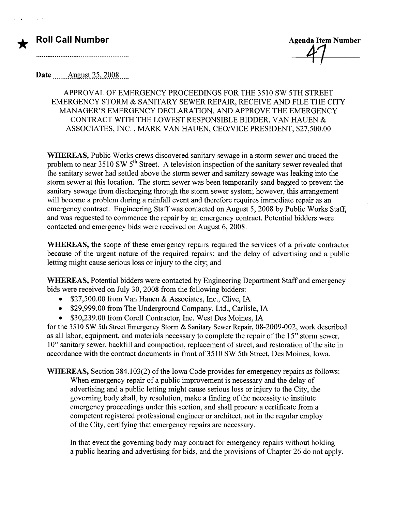### **Roll Call Number Agents Agents Agents Agents Agents Agents Agents Agents Agents Agents Agents Agents Agents Agents Agents Agents Agents Agents Agents Agents Agents Agents Agents Agents Agents Agents Agents Agents Agents A**

\*

Date  $\qquad$  August 25, 2008

### APPROVAL OF EMERGENCY PROCEEDINGS FOR THE 3510 SW 5TH STREET EMERGENCY STORM & SANITARY SEWER REPAIR, RECEIVE AND FILE THE CITY MANAGER'S EMERGENCY DECLARATION, AND APPROVE THE EMERGENCY CONTRACT WITH THE LOWEST RESPONSIBLE BIDDER, V AN HAUEN & ASSOCIATES, INC. , MARK VAN HAUEN, CEONICE PRESIDENT, \$27,500.00

WHEREAS, Public Works crews discovered sanitary sewage in a storm sewer and traced the problem to near  $3510 \text{ SW } 5^{\text{th}}$  Street. A television inspection of the sanitary sewer revealed that the sanitary sewer had settled above the storm sewer and sanitary sewage was leaking into the storm sewer at this location. The storm sewer was been temporarily sand bagged to prevent the sanitary sewage from discharging through the storm sewer system; however, this arrangement will become a problem during a rainfall event and therefore requires immediate repair as an emergency contract. Engineering Staff was contacted on August 5, 2008 by Public Works Staff, and was requested to commence the repair by an emergency contract. Potential bidders were contacted and emergency bids were received on August 6, 2008.

WHEREAS, the scope of these emergency repairs required the services of a private contractor because of the urgent nature of the required repairs; and the delay of advertising and a public letting might cause serious loss or injury to the city; and

WHEREAS, Potential bidders were contacted by Engineering Department Staff and emergency bids were received on July 30, 2008 from the following bidders:

- \$27,500.00 from Van Hauen & Associates, Inc., Clive, IA
- . \$29,999.00 from The Underground Company, Ltd., Carlisle, IA
- . \$30,239.00 from Corell Contractor, Inc. West Des Moines, IA

for the 3510 SW 5th Street Emergency Storm & Sanitary Sewer Repair, 08-2009-002, work described as all labor, equipment, and materials necessary to complete the repair of the 15" storm sewer, 10" sanitary sewer, backfill and compaction, replacement of street, and restoration of the site in accordance with the contract documents in front of 35 10 SW 5th Street, Des Moines, Iowa.

WHEREAS, Section 384.103(2) of the Iowa Code provides for emergency repairs as follows: When emergency repair of a public improvement is necessary and the delay of advertising and a public letting might cause serious loss or injury to the City, the governing body shall, by resolution, make a finding of the necessity to institute emergency proceedings under this section, and shall procure a certificate from a competent registered professional engineer or architect, not in the regular employ of the City, certifying that emergency repairs are necessary.

In that event the governing body may contract for emergency repairs without holding a public hearing and advertising for bids, and the provisions of Chapter 26 do not apply.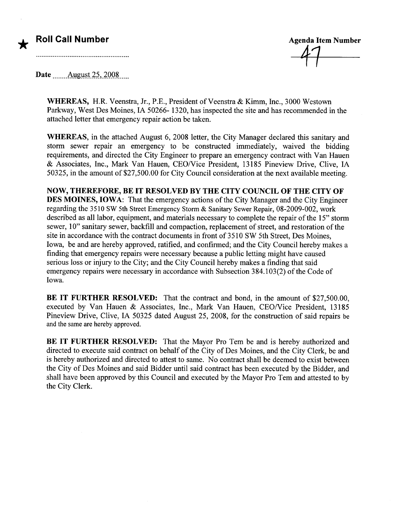## Roll Call Number

\*

**Agenda Item Number** 

Date  $\qquad$  August 25, 2008

WHEREAS, H.R. Veenstra, Jr., P.E., President of Veenstra & Kimm, Inc., 3000 Westown Parkway, West Des Moines, IA 50266- 1320, has inspected the site and has recommended in the attached letter that emergency repair action be taken.

WHEREAS, in the attached August 6, 2008 letter, the City Manager declared this sanitary and storm sewer repair an emergency to be constructed immediately, waived the bidding requirements, and directed the City Engineer to prepare an emergency contract with Van Hauen & Associates, Inc., Mark Van Hauen, CEONice President, 13185 Pineview Drive, Clive, IA 50325, in the amount of \$27,500.00 for City Council consideration at the next available meeting.

NOW, THEREFORE, BE IT RESOLVED BY THE CITY COUNCIL OF THE CITY OF DES MOINES, IOWA: That the emergency actions of the City Manager and the City Engineer regarding the 3510 SW 5th Street Emergency Storm & Sanitary Sewer Repair, 08-2009-002, work described as all labor, equipment, and materials necessary to complete the repair of the 15" storm sewer, 10" sanitary sewer, backfill and compaction, replacement of street, and restoration of the site in accordance with the contract documents in front of 3510 SW 5th Street, Des Moines, Iowa, be and are hereby approved, ratified, and confirmed; and the City Council hereby makes a finding that emergency repairs were necessary because a public letting might have caused serious loss or injury to the City; and the City Council hereby makes a finding that said emergency repairs were necessary in accordance with Subsection 384.103(2) of the Code of Iowa.

BE IT FURTHER RESOLVED: That the contract and bond, in the amount of \$27,500.00, executed by Van Hauen & Associates, Inc., Mark Van Hauen, CEO/Vice President, 13185 Pineview Drive, Clive, IA 50325 dated August 25, 2008, for the construction of said repairs be and the same are hereby approved.

BE IT FURTHER RESOLVED: That the Mayor Pro Tem be and is hereby authorized and directed to execute said contract on behalf of the City of Des Moines, and the City Clerk, be and is hereby authorized and directed to attest to same. No contract shall be deemed to exist between the City of Des Moines and said Bidder until said contract has been executed by the Bidder, and shall have been approved by this Council and executed by the Mayor Pro Tem and attested to by the City Clerk.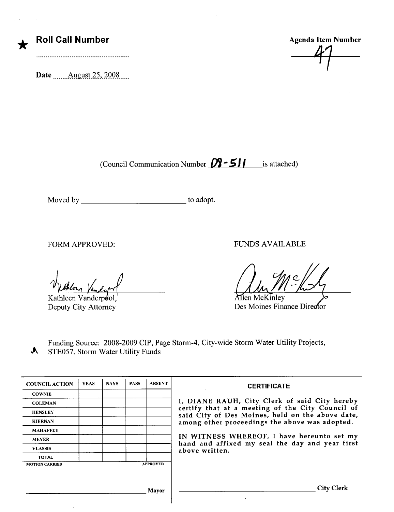| <b>Roll Call Numb</b> |  |
|-----------------------|--|
|-----------------------|--|

\*

Date \_\_\_\_\_\_ August 25, 2008

er and Call Call Call Call Agenda Item Number 47

(Council Communication Number  $\mathbb{D}$  - 5 $\mathbf{I}$  is attached)

Moved by to adopt.

Kathleen Vanderpool, Deputy City Attorney

A

FORM APPROVED: FUNDS AVAILABLE

Allen McKinley

Des Moines Finance Director

Funding Source: 2008-2009 CIP, Page Storm-4, City-wide Storm Water Utility Projects, STE057, Storm Water Utility Funds

| <b>COUNCIL ACTION</b> | <b>YEAS</b> | <b>NAYS</b> | <b>PASS</b> | <b>ABSENT</b>   | <b>CERTIFICATE</b>                                                                                   |
|-----------------------|-------------|-------------|-------------|-----------------|------------------------------------------------------------------------------------------------------|
| <b>COWNIE</b>         |             |             |             |                 |                                                                                                      |
| <b>COLEMAN</b>        |             |             |             |                 | I, DIANE RAUH, City Clerk of said City hereby                                                        |
| <b>HENSLEY</b>        |             |             |             |                 | certify that at a meeting of the City Council of<br>said City of Des Moines, held on the above date, |
| <b>KIERNAN</b>        |             |             |             |                 | among other proceedings the above was adopted.                                                       |
| <b>MAHAFFEY</b>       |             |             |             |                 |                                                                                                      |
| <b>MEYER</b>          |             |             |             |                 | IN WITNESS WHEREOF, I have hereunto set my<br>hand and affixed my seal the day and year first        |
| <b>VLASSIS</b>        |             |             |             |                 | above written.                                                                                       |
| <b>TOTAL</b>          |             |             |             |                 |                                                                                                      |
| <b>MOTION CARRIED</b> |             |             |             | <b>APPROVED</b> |                                                                                                      |
|                       |             |             |             |                 |                                                                                                      |
|                       |             |             |             |                 |                                                                                                      |
|                       |             |             |             | Mayor           | City Clerk                                                                                           |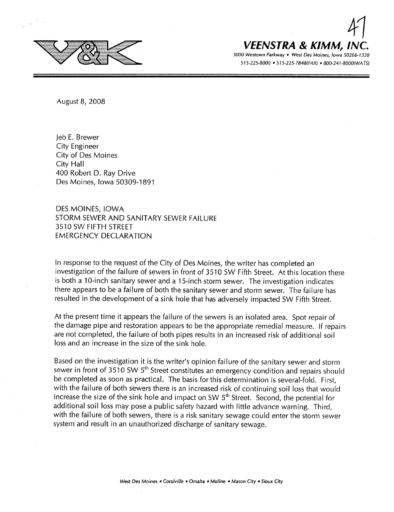

# 4 | VEENSTRA & KIMM. IN

August 8, 2008

leb E. Brewer City Engineer City of Des Moines City Hall 400 Robert D. Ray Drive Des Moines, Iowa 50309-1891

DES MOINES, IOWA STORM SEWER AND SANITARY SEWER FAILURE 3510 SW FIFTH STREET EMERGENCY DECLARATION

In response to the request of the City of Des Moines, the writer has completed an investigation of the failure of sewers in front of 3510 SW Fifth Street. At this location there is both a lO-inch sanitary sewer and a 15-inch storm sewer. The investigation indicates there appears to be a failure of both the sanitary sewer and storm sewer. The failure has resulted in the development of a sink hole that has adversely impacted SW Fifth Street.

At the present time it appears the failure of the sewers is an isolated area. Spot repair of the damage pipe and restoration appears to be the appropriate remedial measure. If repairs are not completed, the failure of both pipes results in an increased risk of additional soil loss and an increase in the size of the sink hole.

Based on the investigation it is the writer's opinion failure of the sanitary sewer and storm sewer in front of 3510 SW  $5<sup>th</sup>$  Street constitutes an emergency condition and repairs should be completed as soon as practical. The basis for this determination is several-fold. First, with the failure of both sewers there is an increased risk of continuing soil loss that would increase the size of the sink hole and impact on SW  $5<sup>th</sup>$  Street. Second, the potential for additional soil loss may pose a public safety hazard with little advance warning. Third, with the failure of both sewers, there is a risk sanitary sewage could enter the storm sewer system and result in an unauthorized discharge of sanitary sewage.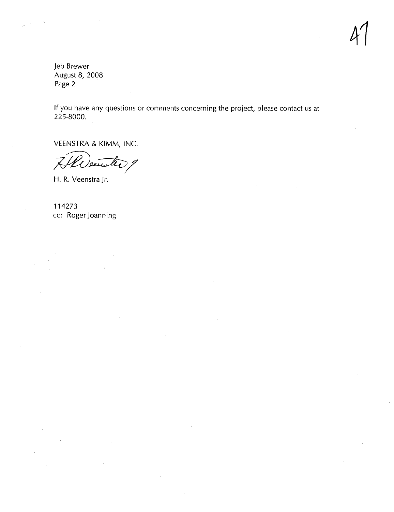4

leb Brewer August 8, 2008 Page 2

If you have any questions or comments concerning the project, please contact us at 225-8000.

VEENSTRA & KIMM, INC.

H. R. Veenstra Jr.

114273 cc: Roger loanning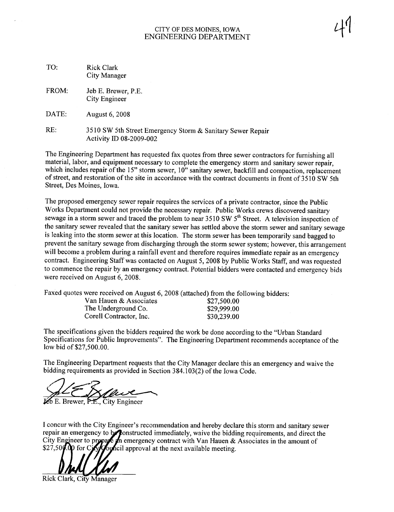#### CITY OF DES MOINES, IOWA ENGINEERING DEPARTMENT

| TO: | <b>Rick Clark</b> |
|-----|-------------------|
|     | City Manager      |

FROM: Jeb E. Brewer, P.E. City Engineer

DATE: August 6, 2008

RE: 3510 SW 5th Street Emergency Storm & Sanitary Sewer Repair Activity ID 08-2009-002

The Engineering Department has requested fax quotes from three sewer contractors for furnishing all material, labor, and equipment necessary to complete the emergency storm and sanitary sewer repair, which includes repair of the 15" storm sewer, 10" sanitary sewer, backfill and compaction, replacement of street, and restoration of the site in accordance with the contract documents in front of 3510 SW 5th Street, Des Moines, Iowa.

The proposed emergency sewer repair requires the services of a private contractor, since the Public Works Department could not provide the necessary repair. Public Works crews discovered sanitary sewage in a storm sewer and traced the problem to near 3510 SW  $5<sup>th</sup>$  Street. A television inspection of the sanitary sewer revealed that the sanitary sewer has settled above the storm sewer and sanitary sewage is leaking into the storm sewer at this location. The storm sewer has been temporarily sand bagged to prevent the sanitary sewage from discharging through the storm sewer system; however, this arrangement will become a problem during a rainfall event and therefore requires immediate repair as an emergency contract. Engineering Staff was contacted on August 5, 2008 by Public Works Staff, and was requested to commence the repair by an emergency contract. Potential bidders were contacted and emergency bids were received on August 6, 2008.

Faxed quotes were received on August 6, 2008 (attached) from the following bidders:

| Van Hauen & Associates  | \$27,500.00 |
|-------------------------|-------------|
| The Underground Co.     | \$29,999.00 |
| Corell Contractor, Inc. | \$30,239.00 |

The specifications given the bidders required the work be done according to the "Urban Standard Specifications for Public Improvements". The Engineering Department recommends acceptance of the low bid of \$27,500.00.

The Engineering Department requests that the City Manager declare this an emergency and waive the bidding requirements as provided in Section 384.103(2) of the Iowa Code.

 $E$ , City Engineer

I concur with the City Engineer's recommendation and hereby declare this storm and sanitary sewer repair an emergency to be constructed immediately, waive the bidding requirements, and direct the City Engineer to propare in emergency contract with Van Hauen & Associates in the amount of \$27,50 $\emptyset$ . op for Circle supposition approval at the next available meeting.

Rick Clark, City Manager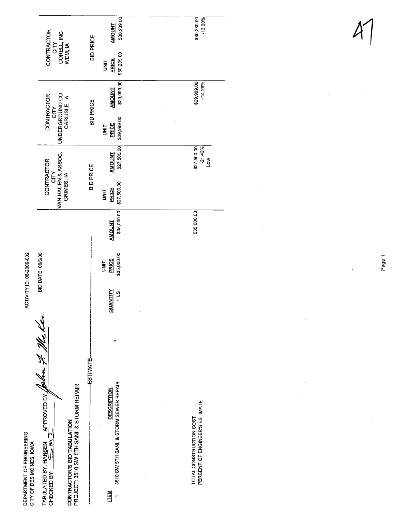|                                                       |                                                                             |                  | \$30,239.00<br><b>AMOUNT</b>                                 | \$30,239.00<br>$-13.60%$                                  |
|-------------------------------------------------------|-----------------------------------------------------------------------------|------------------|--------------------------------------------------------------|-----------------------------------------------------------|
|                                                       | CONTRACTOR<br>CITY<br>CORELL, INC<br>WDM, IA                                | <b>BID PRICE</b> | \$30,239.00<br><b>PRICE</b><br><b>SPIRE</b>                  |                                                           |
|                                                       | CITY                                                                        |                  | \$29,999.00<br><b>AMOUNT</b>                                 | \$29,999.00<br>$-14.29%$                                  |
|                                                       | UNDERGROUND CO<br>CARLISLE, IA<br>CONTRACTOR                                | <b>BID PRICE</b> | \$29,999.00<br><b>PRICE</b><br><b>UNIT</b>                   |                                                           |
|                                                       |                                                                             | <b>BID PRICE</b> | \$27,500.00<br><b>AMOUNT</b>                                 | \$27,500.00<br>$-21.43%$<br><b>No</b>                     |
|                                                       | CITY<br> VAN HAUEN & ASSOC.<br> GRIMES, IA<br><b>CONTRACTOR</b>             |                  | \$27,500.00<br><b>PRICE</b><br><b>SINT</b>                   |                                                           |
|                                                       |                                                                             |                  | \$35,000.00<br><b>AMOUNT</b>                                 | \$35,000.00                                               |
| ACTIVITY ID: 08-2009-002                              | BID DATE: 08/6/08                                                           |                  | \$35,000.00<br>PRICE<br><b>SINT</b>                          |                                                           |
|                                                       |                                                                             |                  | QUANTITY<br>$\frac{3}{1}$                                    |                                                           |
|                                                       |                                                                             |                  | ۴,                                                           |                                                           |
|                                                       |                                                                             | -ESTIMATE-       |                                                              |                                                           |
|                                                       | ANSEN APPROVED BY JOON 7. ME K<br>PROJECT: 3510 SW 5TH SANI. & STORM REPAIR |                  | 3510 SW 5TH SANI. & STORM SEWER REPAIR<br><b>DESCRIPTION</b> |                                                           |
| DEPARTMENT OF ENGINEERING<br>CITY OF DES MOINES, IOWA | CONTRACTOR'S BID TABULATION<br>TABULATED BY: HANSEN<br>CHECKED BY:          |                  |                                                              | PERCENT OF ENGINEER'S ESTIMATE<br>TOTAL CONSTRUCTION COST |
|                                                       |                                                                             |                  | <u>ren</u>                                                   |                                                           |

Page 1

J.

 $\overline{\phantom{a}}$ 

 $\bar{z}$ 

 $\overline{\phantom{a}}$ 

 $\hat{\mathcal{A}}$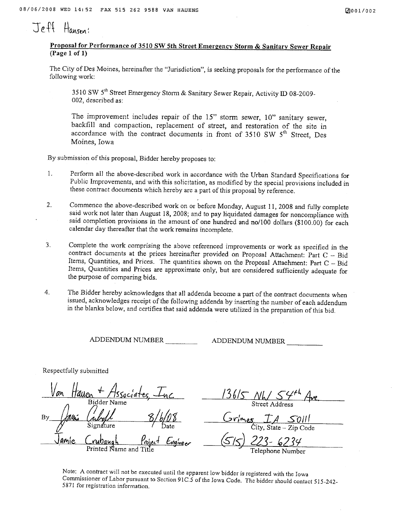# $J$ eft Hansen!

#### Proposal for Performance of 3510 SW 5th Street Emergency Storm & Sanitary Sewer Repair (Page 1 of 1)

The City of Des Moines, hereinafter the "Jurisdiction", is seeking proposals for the performance of the following work:

3510 SW 5<sup>th</sup> Street Emergency Storm & Sanitary Sewer Repair, Activity ID 08-2009-002, described as:

The improvement includes repair of the 15" storm sewer, 10" sanitary sewer, backfill and compaction, replacement of street, and restoration of the site in accordance with the contract documents in front of  $3510$  SW  $5<sup>th</sup>$  Street, Des Moines, Iowa

By submission of this proposal, Bidder hereby proposes to:

- 1. Perform all the above-described work in accordance with the Urban Standard Specifications for Public Improvements, and with this solicitation, as modified by the special provisions included in these contract documents which hereby are a part of this proposal by reference.
- 2. Commence the above-described work on or before Monday, August 11,2008 and fully complete said work not later than August 18, 2008; and to pay liquidated damages for noncompliance with said completion provisions in the amount of one hundred and no/100 dollars (\$100.00) for each calendar day thereafter that the work remains incomplete.
- 3. Complete the work comprising the above referenced improvements or work as specified in the contract documents at the prices hereinafter provided on Proposal Attachment: Part C - Bid Items, Quantities, and Prices. The quantities shown on the Proposal Attachment: Part  $C - Bid$ Items, Quantities and Prices are approximate only, but are considered sufficiently adequate for the purpose of comparing bids.
- 4. The Bidder hereby acknowledges that all addenda become a part of the contract documents when issued, acknowledges receipt of the following addenda by inserting the number of each addendum in the blanks below, and certifies that said addenda were utilized in the preparation of this bid.

ADDENDUM NUMBER ADDENDUM NUMBER

Respectfully submitted

By <u>Van Hauen + Associates, Inc.</u> Bidder Name<br>autor (ally) 8/6/0 <u>amie Crubaugh Project Engineer</u> Printed Name and

 $136/5$  NW  $54^{+1}$  Ave Street Address

 $Gr_{mes}$   $IA$  SOIII ity, State - Zip Code

(S / 5) 223 - 6234<br>Telephone Number

Note: A contract will not be executed until the apparent low bidder is registered with the Iowa Commissioner of Labor pursuant to Section 91C.5 of the Iowa Code. The bidder should contact 515-242-5871 for registration information.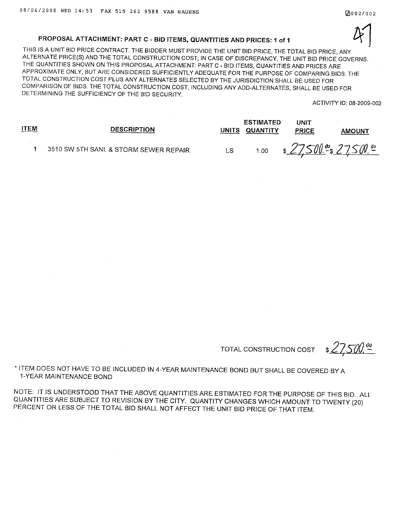#### PROPOSAL ATTACHMENT: PART C - BID ITEMS, QUANTITIES AND PRICES: 1 of 1

THIS IS A UNIT BID PRICE CONTRACT. THE BIDDER MUST PROVIDE THE UNIT BID PRICE, THE TOTAL BID PRICE, ANY ALTERNATE PRICE(S) AND THE TOTAL CONSTRUCTION COST; IN CASE OF DISCREPANCY, THE UNIT BID PRICE GOVERNS. THE QUANTITIES SHOWN ON THIS PROPOSAL ATTACHMENT: PART C - BID ITEMS, QUANTITIES AND PRICES ARE APPROXIMATE ONLY, BUT ARE CONSIDERED SUFFICIENTLY ADEQUATE FOR THE PURPOSE OF COMPARING BIDS. THE TOTAL CONSTRUCTION COST PLUS ANY ALTERNATES SELECTED BY THE JURISDICTION SHALL BE USED FOR COMPARISON OF BIDS. THE TOTAL CONSTRUCTION COST, INCLUDING ANY ADD-ALTERNATES, SHALL BE USED FOR DETERMINING THE SUFFICIENCY OF THE BID SECURITY.  $4<sup>1</sup>$ 

ACTIVITY ID: 08-2009-002

| <u>ITEM</u> | <b>DESCRIPTION</b>                     | <b>UNITS</b> | <b>ESTIMATED</b><br>QUANTITY | UNIT<br><b>PRICE</b> | AMOUNT |
|-------------|----------------------------------------|--------------|------------------------------|----------------------|--------|
|             | 3510 SW 5TH SANI. & STORM SEWER REPAIR | LS           | 1.00                         | \$27500.00 27500.00  |        |

TOTAL CONSTRUCTION COST

\* ITEM DOES NOT HAVE TO BE INCLUDED IN 4-YEAR MAINTENANCE BOND BUT SHALL BE COVERED BY A 1-YEAR MAINTENANCE BOND

NOTE: IT IS UNDERSTOOD THAT THE ABOVE QUANTITIES ARE ESTIMATED FOR THE PURPOSE OF THIS BID. ALL QUANTITIES ARE SUBJECT TO REVISION BY THE CITY. QUANTITY CHANGES WHICH AMOUNT TO TWENTY (20) PERCENT OR LESS OF THE TOTAL BID SHALL NOT AFFECT THE UNIT BID PRICE OF THAT ITEM.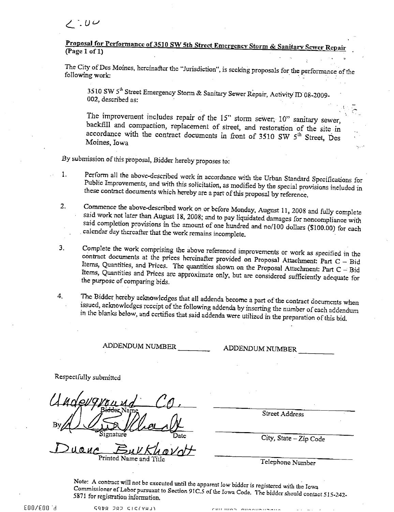#### Proposal for Performance of 3510 SW 5th Street Emergency Storm & Sanitary Sewer Repair (page 1 of 1)

The City of Des Moines, hereinafter the "Jurisdiction", is seeking proposals for the performance of the following work:

3510 SW 5<sup>th</sup> Street Emergency Storm & Sanitary Sewer Repair, Activity ID 08-2009-002, described as:

The improvement includes repair of the 15" storm sewer, 10" sanitary sewer, backfill and compaction, replacement of street, and restoration of the site in accordance with the contract documents in front of 3510 SW 5<sup>th</sup> Street, Des Moines, Iowa

.By submission of this proposal, Bidder hereby proposes to:

1. Perform all the above-described work in accordance with the Urban Standard Specifications for Public Improvements, and with this solicitation, as modified by the special provisions included in these contract documents which hereby are a part of this proposal by reference

2. Commence the above-described work on or before Monday, August 11, 2008 and fully complete said work not later than August 18, 2008; and to pay liquidated damages for noncompliance with said completion provisions in the amount of one hundred and no/100 dollars (\$100.00) for each . calendar day thereafter that the work remains incomplete.

- 3. Complete the work comprising the above referenced improvements or work as specified in the contract documents at the prices hercinafter provided on Proposal Attachment: Part C  $-$  Bid Items, Quantities, and Prices. The quantities shown on the Proposal Attachment: Part C - Bid Items, Quantities and Prices are approximate only, but are considered sufficiently adequate for the purpose of comparing bids.
- 4. The Bidder hereby acknowledges that all addenda become a part of the contract documents when issued, acknowledges receipt of the following addenda by inserting the number of each addendum In the blanks below, and certifies that said addenda were utilized in the preparation of this bid.

ADDENDUM NUMBER ADDENDUM NUMBER

Respectfully submitted

 $Duauc$   $BuVKhav/dt$ 

Street Address

 $\tilde{\mathcal{L}}$ 

Telephone Number

Note: A contract will not be executed until the apparent low bidder is registered with the Iowa Commissioner of Labor pursuant to Section 91 C.S of the Iowa Code. The bidder should contact 515-242-5871 for registration information.

EOO/EOO °d ~qnQ JQJ CIC(VUJ'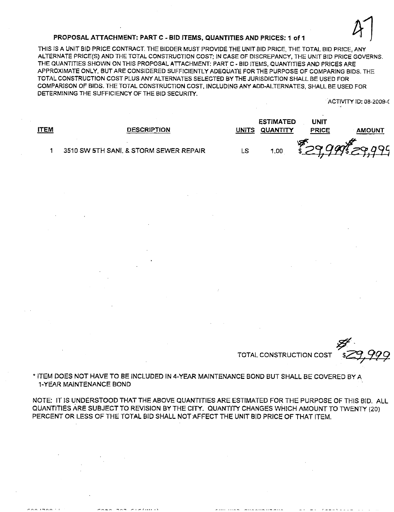#### PROPOSAL ATTACHMENT: PART C - BID ITEMS, QUANTITIES AND PRICES: 1 of 1

THIS IS A UNIT BID PRICE CONTRACT. THE BIDDER MUST PROVIDE THE UNIT 810 PRICE, THE TOTAL 81D PRICE, ANY ALTERNATE PRICE(S) AND THE TOTAL CONSTRUCTION COST; IN CASE OF DISCREPANCY, THE UNIT SID PRICE GOVERNS. THE QUANTITIES SHOWN ON THIS PROPOSAL ATTACHMENT: PART C - BID ITEMS, QUANTITIES AND PRICES ARE APPROXIMATE ONLY. BUT ARE CONSIDERED SUFFICIENTLY ADEQUAYE FOR THE PURPOSE OF COMPARING BIDS. THE TOTAL CONSTRUCTION COST PLUS ANY ALTERNATES SELECTED BY THE JURISDICTION SHALL BE USED FOR COMPARISON OF BIDS. THE TOTAL CONSTRUCTION COST, INCLUDING ANY ADD-ALTERNATES. SHALL BE USED FOR DETERMINING THE SUFFICIENCY OF THE BID SECURITY.

ACTIVITY ID: 08-2009-(

 $\mathcal{U}_\mathbf{t}$ 

|             |                                        |       | <b>ESTIMATED</b> | UNIT        |        |
|-------------|----------------------------------------|-------|------------------|-------------|--------|
| <b>ITEM</b> | <b>DESCRIPTION</b>                     | UNITS | QUANTITY         | PRICE       | AMOUNT |
|             | 3510 SW 5TH SANI, & STORM SEWER REPAIR | LS    | 1.00             | 32999529999 |        |

TOTAL CONSTRUCTION COST

**\$** 

\* ITEM DOES NOT HAVE TO BE INCLUDED IN 4-YEAR MAINTENANCE BOND BUT SHALL BE COVERED BY A 1-YEAR MAINTENANCE BOND

NOTE: IT IS UNDERSTOOD THAT THE ABOVE QUANTITIES ARE ESTIMATED FOR THE PURPOSE OF THIS BID. ALL QUANTITIES ARE SUBJECT TO REVISION BY THE CITY. QUANTITY CHANGES WHICH AMOUNT TO TWENTY (20) PERCENT OR LESS OF THE TOTAL BID SHALL NOT AFFECT THE UNIT BID PRICE OF THAT ITEM.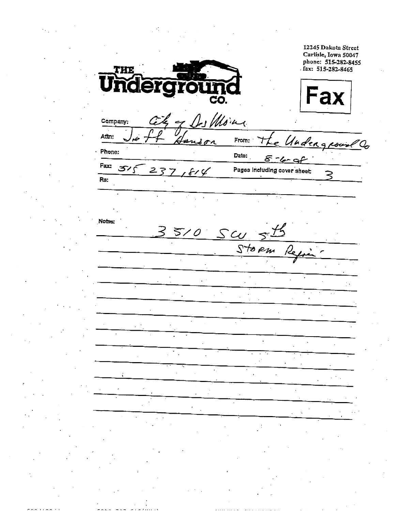12245 Dakota Street Carlisle, Iowa 50047 phone: 515-282-8455 fax: 515-282-8465 THE U Fax CO. Des Moins Company: Attn: خد From: Undergrown andon Ţ  $\mathcal{Q}_{\sigma}$ · Phone: Date:  $8 - 4 - 9$ Fax: م رہ Pages including cover sheet:  $2<sub>7</sub>$  $f\vee f$ ミ Re: Notes:  $scu$  $5/0$ Storm بركرا  $\ddot{\phantom{a}}$  $\overline{a}$  $\ddot{\phantom{a}}$  $\ddot{\phantom{a}}$  $\mathcal{F}_{\mathcal{A}}$  $\mathbf{r}$  $\gamma_{\rm eff}$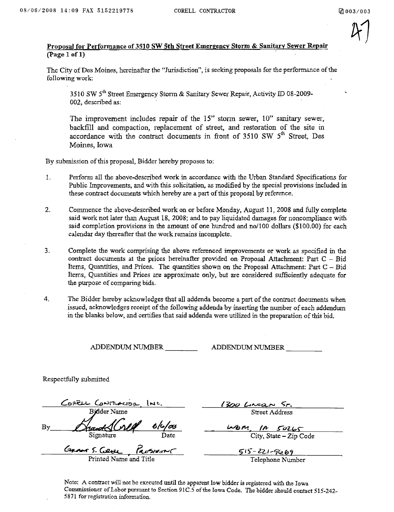$4/1$ 

#### Proposal for Performance of 3510 SW 5th Street Emergency Storm & Sanitary Sewer Repair (page 1 of 1)

The City of Des Moines, hereinafter the "Jurisdiction", is seeking proposals for the performance of the following work:

3510 SW 5<sup>th</sup> Street Emergency Storm & Sanitary Sewer Repair, Activity ID 08-2009-002, described as:

The improvement includes repair of the 15" storm sewer, 10" sanitary sewer, backfill and compaction, replacement of street, and restoration of the site in accordance with the contract documents in front of 3510 SW  $5<sup>th</sup>$  Street, Des Moines, Iowa

By submission of this proposal, Bidder hereby proposes to:

- 1. Perform all the above-described work in accordance with the Urban Standard Specifications for Public Improvements, and with this solicitation, as modified by the special provisions included in these contract documents which hereby are a part of this proposal by reference.
- 2. Commence the above-described work on or before Monday, August 11,2008 and fully complete said work not later than August 18, 2008; and to pay liquidated damages for noncompliance with said completion provisions in the amount of one hundred and no/IOD dollars (\$100.00) for each calendar day thereafter that the work remains incomplete.
- 3. Complete the work comprising the above referenced improvements or work as specified in the contract documents at the prices hereinafter provided on Proposal Attachment: Part  $C - Bid$ Items, Quantities, and Prices. The quantities shown on the Proposal Attachment: Part  $C - Bid$ Items, Quantities and Prices are approximate only, but are considered sufficiently adequate for the purose of comparing bids.
- 4. The Bidder hereby acknowledges that all addenda become a part of the contract documents when issued, acknowledges receipt of the following addenda by inserting the number of each addendum in the blanks below, and cerfies that said addenda were utilized in the preparation of this bid.

ADDENDUM NUMBER ADDENDUM NUMBER

Respectfully submitted

CORELL CONTRACTOR Bilder Name<br>Bilder Name<br>Signature  $By$   $\Delta$ hand $\Delta$ (vill  $6/$ as Date  $G$ *rans*  $S$ *. (* $g_{HL}$ 

Printed Name and Tit

1300 LIMAN 5-Street Address

 $Wbm$ , IA  $50265$ City, State - Zip Code

 $515 - 221 - 9669$ 

Telephone Number

Note: A contract will not be executed until the apparent low bidder is registered with the Iowa Commissioner of Labor pursuant to Section 91C.5 of the Iowa Code. The bidder should contact 515-242-5871 forregistration information.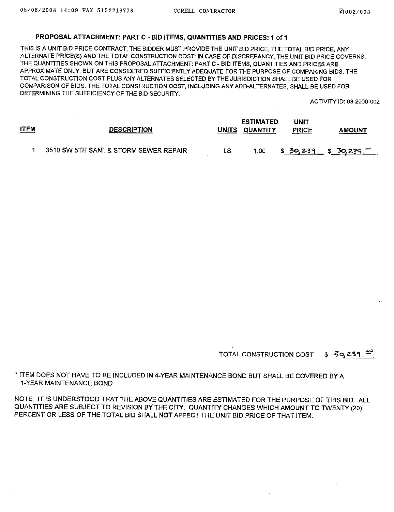#### PROPOSAL ATTACHMENT: PART C - BID ITEMS, QUANTITIES AND PRICES: 1 of 1

THIS IS A UNIT BID PRICE CONTRACT. THE BIDDER MUST PROVIDE THE UNIT BID PRICE, THE TOTAL BID PRICE, ANY. ALTERNATE PRICE(S) AND THE TOTAL CONSTRUCTION COST; IN CASE OF DISCREPANCY, THE UNIT BID PRICE GOVERNS. THE QUANTITIES SHOWN ON THIS PROPOSAL ATTACHMENT: PART C - BID ITEMS, QUANTITIES AND PRICES ARE APPROXIMATE ONLY, BUT ARE CONSIDERED SUFFICIENTLY ADEQUATE FOR THE PURPOSE OF COMPARING BIDS. THE TOTAL CONSTRUCTION COST PLUS ANY ALTERNATES SELECTED BY THE JURISDICTION SHALL BE USED FOR COMPARISON OF SIDS. THE TOTAL CONSTRUCTION COST, INCLUDING ANY ADD-ALTERNATES, SHALL BE USED FOR DETERMINING THE SUFFICIENCY OF THE BID SECURITY.

ACTIVITY ID: 08-2009-002

| <u>ITEM</u> | <b>DESCRIPTION</b>                     |    | <b>ESTIMATED</b><br>UNITS QUANTITY | UNIT<br><b>PRICE</b> | <b>AMOUNT</b>   |
|-------------|----------------------------------------|----|------------------------------------|----------------------|-----------------|
|             | 3510 SW 5TH SANI. & STORM SEWER REPAIR | LS | 1.00                               | \$30,239             | $\_$ \$ 30,239. |

TOTAL CONSTRUCTION COST  $$ 30,839.$ <sup>29</sup>

. ITEM DOES NOT HAVE TO BE INCLUDED IN 4-YEAR MAINTENANCE BOND BUT SHALL BE COVERED BY A 1-YEAR MAINTENANCE BOND

NOTE: IT IS UNDERSTOOD THAT THE ABOVE QUANTITIES ARE ESTIMATED FOR THE PURPOSE OF THIS BID. ALL QUANTITIES ARE SUBJECT TO REVISION BY THE CITY. QUANTITY CHANGES WHICH AMOUNT TO TWENTY (20) PERCENT OR LESS OF THE TOTAL BID SHALL NOT AFFECT THE UNIT BID PRICE OF THAT ITEM.